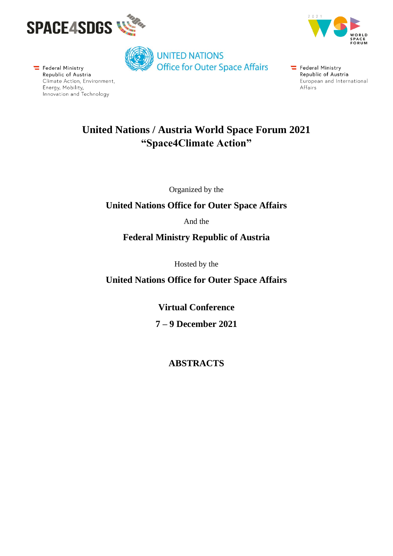





Federal Ministry Republic of Austria Climate Action, Environment, Energy, Mobility, Innovation and Technology

Federal Ministry Republic of Austria European and International Affairs

# **United Nations / Austria World Space Forum 2021 "Space4Climate Action"**

Organized by the

## **United Nations Office for Outer Space Affairs**

And the

**Federal Ministry Republic of Austria**

Hosted by the

**United Nations Office for Outer Space Affairs**

**Virtual Conference**

**7 – 9 December 2021**

# **ABSTRACTS**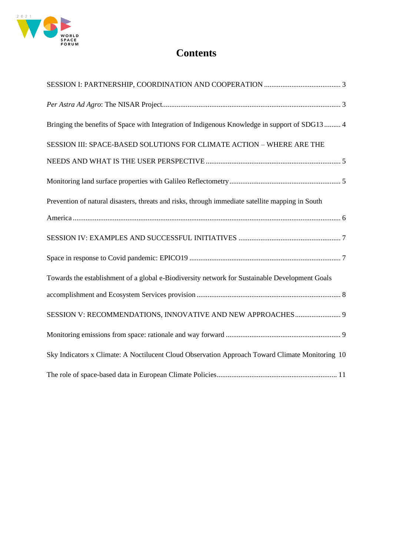

# **Contents**

| Bringing the benefits of Space with Integration of Indigenous Knowledge in support of SDG13  4   |
|--------------------------------------------------------------------------------------------------|
| SESSION III: SPACE-BASED SOLUTIONS FOR CLIMATE ACTION - WHERE ARE THE                            |
|                                                                                                  |
|                                                                                                  |
| Prevention of natural disasters, threats and risks, through immediate satellite mapping in South |
|                                                                                                  |
|                                                                                                  |
|                                                                                                  |
| Towards the establishment of a global e-Biodiversity network for Sustainable Development Goals   |
|                                                                                                  |
| SESSION V: RECOMMENDATIONS, INNOVATIVE AND NEW APPROACHES 9                                      |
|                                                                                                  |
| Sky Indicators x Climate: A Noctilucent Cloud Observation Approach Toward Climate Monitoring 10  |
|                                                                                                  |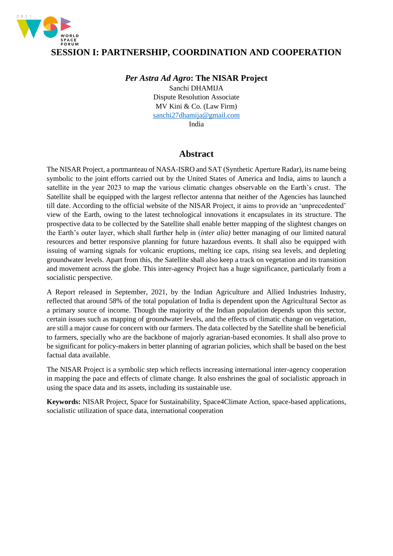

## <span id="page-2-1"></span><span id="page-2-0"></span>**SESSION I: PARTNERSHIP, COORDINATION AND COOPERATION**

#### *Per Astra Ad Agro***: The NISAR Project**

Sanchi DHAMIJA Dispute Resolution Associate MV Kini & Co. (Law Firm) [sanchi27dhamija@gmail.com](mailto:sanchi27dhamija@gmail.com) India

**Abstract**

The NISAR Project, a portmanteau of NASA-ISRO and SAT (Synthetic Aperture Radar), its name being symbolic to the joint efforts carried out by the United States of America and India, aims to launch a satellite in the year 2023 to map the various climatic changes observable on the Earth's crust. The Satellite shall be equipped with the largest reflector antenna that neither of the Agencies has launched till date. According to the official website of the NISAR Project, it aims to provide an 'unprecedented' view of the Earth, owing to the latest technological innovations it encapsulates in its structure. The prospective data to be collected by the Satellite shall enable better mapping of the slightest changes on the Earth's outer layer, which shall further help in (*inter alia)* better managing of our limited natural resources and better responsive planning for future hazardous events. It shall also be equipped with issuing of warning signals for volcanic eruptions, melting ice caps, rising sea levels, and depleting groundwater levels. Apart from this, the Satellite shall also keep a track on vegetation and its transition and movement across the globe. This inter-agency Project has a huge significance, particularly from a socialistic perspective.

A Report released in September, 2021, by the Indian Agriculture and Allied Industries Industry, reflected that around 58% of the total population of India is dependent upon the Agricultural Sector as a primary source of income. Though the majority of the Indian population depends upon this sector, certain issues such as mapping of groundwater levels, and the effects of climatic change on vegetation, are still a major cause for concern with our farmers. The data collected by the Satellite shall be beneficial to farmers, specially who are the backbone of majorly agrarian-based economies. It shall also prove to be significant for policy-makers in better planning of agrarian policies, which shall be based on the best factual data available.

The NISAR Project is a symbolic step which reflects increasing international inter-agency cooperation in mapping the pace and effects of climate change. It also enshrines the goal of socialistic approach in using the space data and its assets, including its sustainable use.

**Keywords:** NISAR Project, Space for Sustainability, Space4Climate Action, space-based applications, socialistic utilization of space data, international cooperation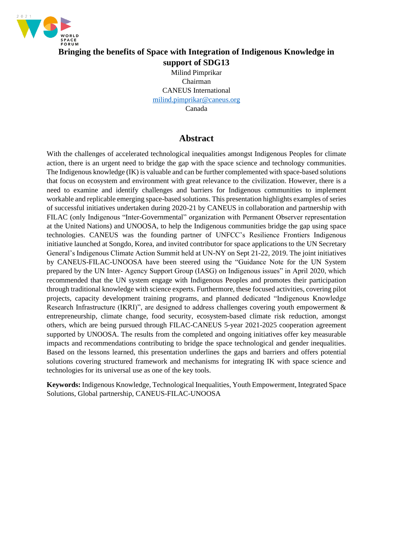

## <span id="page-3-0"></span>**Bringing the benefits of Space with Integration of Indigenous Knowledge in support of SDG13**

Milind Pimprikar Chairman CANEUS International [milind.pimprikar@caneus.org](mailto:milind.pimprikar@caneus.org) Canada

## **Abstract**

With the challenges of accelerated technological inequalities amongst Indigenous Peoples for climate action, there is an urgent need to bridge the gap with the space science and technology communities. The Indigenous knowledge (IK) is valuable and can be further complemented with space-based solutions that focus on ecosystem and environment with great relevance to the civilization. However, there is a need to examine and identify challenges and barriers for Indigenous communities to implement workable and replicable emerging space-based solutions. This presentation highlights examples of series of successful initiatives undertaken during 2020-21 by CANEUS in collaboration and partnership with FILAC (only Indigenous "Inter-Governmental" organization with Permanent Observer representation at the United Nations) and UNOOSA, to help the Indigenous communities bridge the gap using space technologies. CANEUS was the founding partner of UNFCC's Resilience Frontiers Indigenous initiative launched at Songdo, Korea, and invited contributor for space applications to the UN Secretary General's Indigenous Climate Action Summit held at UN-NY on Sept 21-22, 2019. The joint initiatives by CANEUS-FILAC-UNOOSA have been steered using the "Guidance Note for the UN System prepared by the UN Inter- Agency Support Group (IASG) on Indigenous issues" in April 2020, which recommended that the UN system engage with Indigenous Peoples and promotes their participation through traditional knowledge with science experts. Furthermore, these focused activities, covering pilot projects, capacity development training programs, and planned dedicated "Indigenous Knowledge Research Infrastructure (IKRI)", are designed to address challenges covering youth empowerment & entrepreneurship, climate change, food security, ecosystem-based climate risk reduction, amongst others, which are being pursued through FILAC-CANEUS 5-year 2021-2025 cooperation agreement supported by UNOOSA. The results from the completed and ongoing initiatives offer key measurable impacts and recommendations contributing to bridge the space technological and gender inequalities. Based on the lessons learned, this presentation underlines the gaps and barriers and offers potential solutions covering structured framework and mechanisms for integrating IK with space science and technologies for its universal use as one of the key tools.

**Keywords:** Indigenous Knowledge, Technological Inequalities, Youth Empowerment, Integrated Space Solutions, Global partnership, CANEUS-FILAC-UNOOSA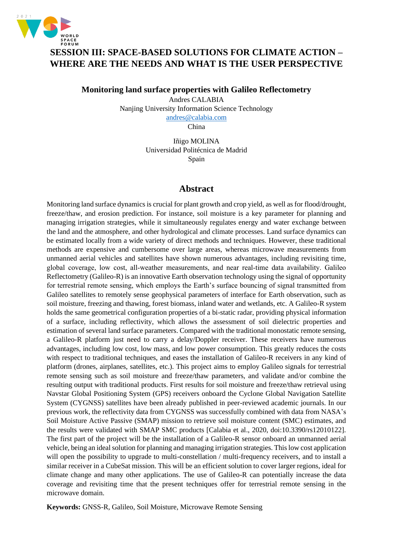

# <span id="page-4-0"></span>**SESSION III: SPACE-BASED SOLUTIONS FOR CLIMATE ACTION – WHERE ARE THE NEEDS AND WHAT IS THE USER PERSPECTIVE**

#### <span id="page-4-1"></span>**Monitoring land surface properties with Galileo Reflectometry**

Andres CALABIA Nanjing University Information Science Technology

[andres@calabia.com](mailto:andres@calabia.com)

China

Iñigo MOLINA Universidad Politécnica de Madrid Spain

#### **Abstract**

Monitoring land surface dynamics is crucial for plant growth and crop yield, as well as for flood/drought, freeze/thaw, and erosion prediction. For instance, soil moisture is a key parameter for planning and managing irrigation strategies, while it simultaneously regulates energy and water exchange between the land and the atmosphere, and other hydrological and climate processes. Land surface dynamics can be estimated locally from a wide variety of direct methods and techniques. However, these traditional methods are expensive and cumbersome over large areas, whereas microwave measurements from unmanned aerial vehicles and satellites have shown numerous advantages, including revisiting time, global coverage, low cost, all-weather measurements, and near real-time data availability. Galileo Reflectometry (Galileo-R) is an innovative Earth observation technology using the signal of opportunity for terrestrial remote sensing, which employs the Earth's surface bouncing of signal transmitted from Galileo satellites to remotely sense geophysical parameters of interface for Earth observation, such as soil moisture, freezing and thawing, forest biomass, inland water and wetlands, etc. A Galileo-R system holds the same geometrical configuration properties of a bi-static radar, providing physical information of a surface, including reflectivity, which allows the assessment of soil dielectric properties and estimation of several land surface parameters. Compared with the traditional monostatic remote sensing, a Galileo-R platform just need to carry a delay/Doppler receiver. These receivers have numerous advantages, including low cost, low mass, and low power consumption. This greatly reduces the costs with respect to traditional techniques, and eases the installation of Galileo-R receivers in any kind of platform (drones, airplanes, satellites, etc.). This project aims to employ Galileo signals for terrestrial remote sensing such as soil moisture and freeze/thaw parameters, and validate and/or combine the resulting output with traditional products. First results for soil moisture and freeze/thaw retrieval using Navstar Global Positioning System (GPS) receivers onboard the Cyclone Global Navigation Satellite System (CYGNSS) satellites have been already published in peer-reviewed academic journals. In our previous work, the reflectivity data from CYGNSS was successfully combined with data from NASA's Soil Moisture Active Passive (SMAP) mission to retrieve soil moisture content (SMC) estimates, and the results were validated with SMAP SMC products [Calabia et al., 2020, doi:10.3390/rs12010122]. The first part of the project will be the installation of a Galileo-R sensor onboard an unmanned aerial vehicle, being an ideal solution for planning and managing irrigation strategies. This low cost application will open the possibility to upgrade to multi-constellation / multi-frequency receivers, and to install a similar receiver in a CubeSat mission. This will be an efficient solution to cover larger regions, ideal for climate change and many other applications. The use of Galileo-R can potentially increase the data coverage and revisiting time that the present techniques offer for terrestrial remote sensing in the microwave domain.

**Keywords:** GNSS-R, Galileo, Soil Moisture, Microwave Remote Sensing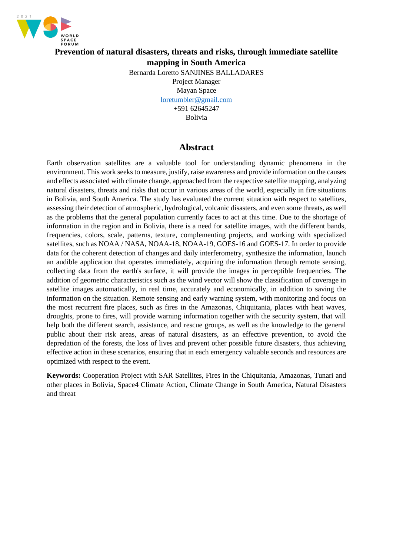

<span id="page-5-0"></span>**Prevention of natural disasters, threats and risks, through immediate satellite mapping in South America**

> Bernarda Loretto SANJINES BALLADARES Project Manager Mayan Space [loretumbler@gmail.com](mailto:loretumbler@gmail.com)  +591 62645247 Bolivia

#### **Abstract**

Earth observation satellites are a valuable tool for understanding dynamic phenomena in the environment. This work seeks to measure, justify, raise awareness and provide information on the causes and effects associated with climate change, approached from the respective satellite mapping, analyzing natural disasters, threats and risks that occur in various areas of the world, especially in fire situations in Bolivia, and South America. The study has evaluated the current situation with respect to satellites, assessing their detection of atmospheric, hydrological, volcanic disasters, and even some threats, as well as the problems that the general population currently faces to act at this time. Due to the shortage of information in the region and in Bolivia, there is a need for satellite images, with the different bands, frequencies, colors, scale, patterns, texture, complementing projects, and working with specialized satellites, such as NOAA / NASA, NOAA-18, NOAA-19, GOES-16 and GOES-17. In order to provide data for the coherent detection of changes and daily interferometry, synthesize the information, launch an audible application that operates immediately, acquiring the information through remote sensing, collecting data from the earth's surface, it will provide the images in perceptible frequencies. The addition of geometric characteristics such as the wind vector will show the classification of coverage in satellite images automatically, in real time, accurately and economically, in addition to saving the information on the situation. Remote sensing and early warning system, with monitoring and focus on the most recurrent fire places, such as fires in the Amazonas, Chiquitania, places with heat waves, droughts, prone to fires, will provide warning information together with the security system, that will help both the different search, assistance, and rescue groups, as well as the knowledge to the general public about their risk areas, areas of natural disasters, as an effective prevention, to avoid the depredation of the forests, the loss of lives and prevent other possible future disasters, thus achieving effective action in these scenarios, ensuring that in each emergency valuable seconds and resources are optimized with respect to the event.

**Keywords:** Cooperation Project with SAR Satellites, Fires in the Chiquitania, Amazonas, Tunari and other places in Bolivia, Space4 Climate Action, Climate Change in South America, Natural Disasters and threat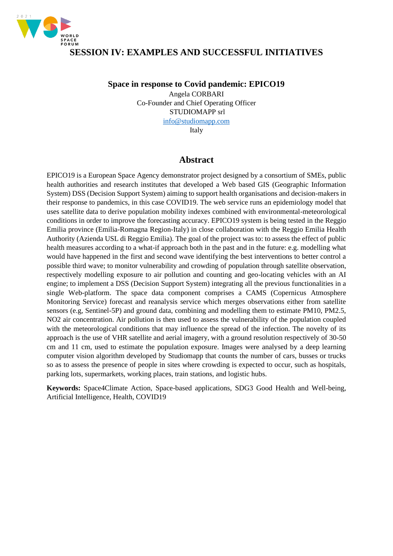

## <span id="page-6-1"></span><span id="page-6-0"></span>**SESSION IV: EXAMPLES AND SUCCESSFUL INITIATIVES**

**Space in response to Covid pandemic: EPICO19** Angela CORBARI Co-Founder and Chief Operating Officer STUDIOMAPP srl [info@studiomapp.com](mailto:info@studiomapp.com) Italy

## **Abstract**

EPICO19 is a European Space Agency demonstrator project designed by a consortium of SMEs, public health authorities and research institutes that developed a Web based GIS (Geographic Information System) DSS (Decision Support System) aiming to support health organisations and decision-makers in their response to pandemics, in this case COVID19. The web service runs an epidemiology model that uses satellite data to derive population mobility indexes combined with environmental-meteorological conditions in order to improve the forecasting accuracy. EPICO19 system is being tested in the Reggio Emilia province (Emilia-Romagna Region-Italy) in close collaboration with the Reggio Emilia Health Authority (Azienda USL di Reggio Emilia). The goal of the project was to: to assess the effect of public health measures according to a what-if approach both in the past and in the future: e.g. modelling what would have happened in the first and second wave identifying the best interventions to better control a possible third wave; to monitor vulnerability and crowding of population through satellite observation, respectively modelling exposure to air pollution and counting and geo-locating vehicles with an AI engine; to implement a DSS (Decision Support System) integrating all the previous functionalities in a single Web-platform. The space data component comprises a CAMS (Copernicus Atmosphere Monitoring Service) forecast and reanalysis service which merges observations either from satellite sensors (e.g, Sentinel-5P) and ground data, combining and modelling them to estimate PM10, PM2.5, NO2 air concentration. Air pollution is then used to assess the vulnerability of the population coupled with the meteorological conditions that may influence the spread of the infection. The novelty of its approach is the use of VHR satellite and aerial imagery, with a ground resolution respectively of 30-50 cm and 11 cm, used to estimate the population exposure. Images were analysed by a deep learning computer vision algorithm developed by Studiomapp that counts the number of cars, busses or trucks so as to assess the presence of people in sites where crowding is expected to occur, such as hospitals, parking lots, supermarkets, working places, train stations, and logistic hubs.

**Keywords:** Space4Climate Action, Space-based applications, SDG3 Good Health and Well-being, Artificial Intelligence, Health, COVID19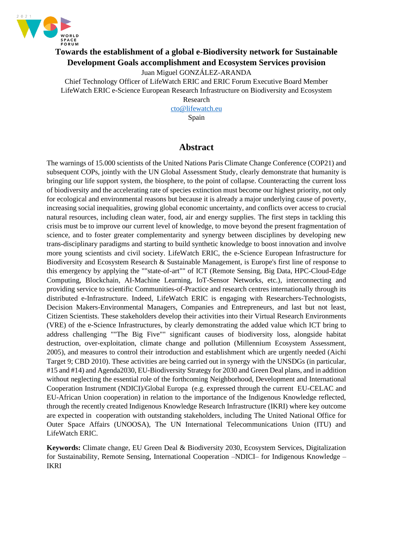

## <span id="page-7-0"></span>**Towards the establishment of a global e-Biodiversity network for Sustainable Development Goals accomplishment and Ecosystem Services provision**

Juan Miguel GONZÁLEZ-ARANDA

Chief Technology Officer of LifeWatch ERIC and ERIC Forum Executive Board Member LifeWatch ERIC e-Science European Research Infrastructure on Biodiversity and Ecosystem Research

[cto@lifewatch.eu](mailto:cto@lifewatch.eu)

Spain

## **Abstract**

The warnings of 15.000 scientists of the United Nations Paris Climate Change Conference (COP21) and subsequent COPs, jointly with the UN Global Assessment Study, clearly demonstrate that humanity is bringing our life support system, the biosphere, to the point of collapse. Counteracting the current loss of biodiversity and the accelerating rate of species extinction must become our highest priority, not only for ecological and environmental reasons but because it is already a major underlying cause of poverty, increasing social inequalities, growing global economic uncertainty, and conflicts over access to crucial natural resources, including clean water, food, air and energy supplies. The first steps in tackling this crisis must be to improve our current level of knowledge, to move beyond the present fragmentation of science, and to foster greater complementarity and synergy between disciplines by developing new trans-disciplinary paradigms and starting to build synthetic knowledge to boost innovation and involve more young scientists and civil society. LifeWatch ERIC, the e-Science European Infrastructure for Biodiversity and Ecosystem Research & Sustainable Management, is Europe's first line of response to this emergency by applying the ""state-of-art"" of ICT (Remote Sensing, Big Data, HPC-Cloud-Edge Computing, Blockchain, AI-Machine Learning, IoT-Sensor Networks, etc.), interconnecting and providing service to scientific Communities-of-Practice and research centres internationally through its distributed e-Infrastructure. Indeed, LifeWatch ERIC is engaging with Researchers-Technologists, Decision Makers-Environmental Managers, Companies and Entrepreneurs, and last but not least, Citizen Scientists. These stakeholders develop their activities into their Virtual Research Environments (VRE) of the e-Science Infrastructures, by clearly demonstrating the added value which ICT bring to address challenging ""The Big Five"" significant causes of biodiversity loss, alongside habitat destruction, over-exploitation, climate change and pollution (Millennium Ecosystem Assessment, 2005), and measures to control their introduction and establishment which are urgently needed (Aichi Target 9; CBD 2010). These activities are being carried out in synergy with the UNSDGs (in particular, #15 and #14) and Agenda2030, EU-Biodiversity Strategy for 2030 and Green Deal plans, and in addition without neglecting the essential role of the forthcoming Neighborhood, Development and International Cooperation Instrument (NDICI)/Global Europa (e.g. expressed through the current EU-CELAC and EU-African Union cooperation) in relation to the importance of the Indigenous Knowledge reflected, through the recently created Indigenous Knowledge Research Infrastructure (IKRI) where key outcome are expected in cooperation with outstanding stakeholders, including The United National Office for Outer Space Affairs (UNOOSA), The UN International Telecommunications Union (ITU) and LifeWatch ERIC.

**Keywords:** Climate change, EU Green Deal & Biodiversity 2030, Ecosystem Services, Digitalization for Sustainability, Remote Sensing, International Cooperation –NDICI– for Indigenous Knowledge – IKRI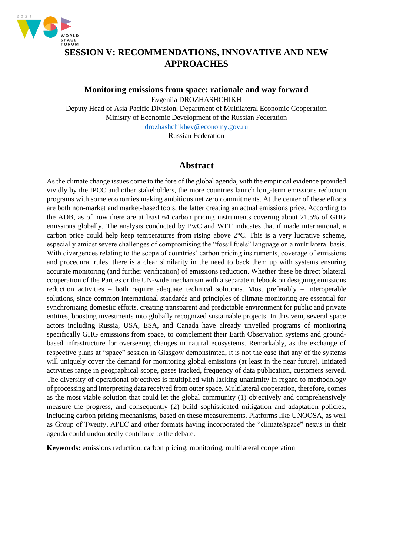

## <span id="page-8-0"></span>**SESSION V: RECOMMENDATIONS, INNOVATIVE AND NEW APPROACHES**

**Monitoring emissions from space: rationale and way forward** Evgeniia DROZHASHCHIKH

<span id="page-8-1"></span>Deputy Head of Asia Pacific Division, Department of Multilateral Economic Cooperation Ministry of Economic Development of the Russian Federation [drozhashchikhev@economy.gov.ru](mailto:drozhashchikhev@economy.gov.ru)

Russian Federation

## **Abstract**

As the climate change issues come to the fore of the global agenda, with the empirical evidence provided vividly by the IPCC and other stakeholders, the more countries launch long-term emissions reduction programs with some economies making ambitious net zero commitments. At the center of these efforts are both non-market and market-based tools, the latter creating an actual emissions price. According to the ADB, as of now there are at least 64 carbon pricing instruments covering about 21.5% of GHG emissions globally. The analysis conducted by PwC and WEF indicates that if made international, a carbon price could help keep temperatures from rising above 2°C. This is a very lucrative scheme, especially amidst severe challenges of compromising the "fossil fuels" language on a multilateral basis. With divergences relating to the scope of countries' carbon pricing instruments, coverage of emissions and procedural rules, there is a clear similarity in the need to back them up with systems ensuring accurate monitoring (and further verification) of emissions reduction. Whether these be direct bilateral cooperation of the Parties or the UN-wide mechanism with a separate rulebook on designing emissions reduction activities – both require adequate technical solutions. Most preferably – interoperable solutions, since common international standards and principles of climate monitoring are essential for synchronizing domestic efforts, creating transparent and predictable environment for public and private entities, boosting investments into globally recognized sustainable projects. In this vein, several space actors including Russia, USA, ESA, and Canada have already unveiled programs of monitoring specifically GHG emissions from space, to complement their Earth Observation systems and groundbased infrastructure for overseeing changes in natural ecosystems. Remarkably, as the exchange of respective plans at "space" session in Glasgow demonstrated, it is not the case that any of the systems will uniquely cover the demand for monitoring global emissions (at least in the near future). Initiated activities range in geographical scope, gases tracked, frequency of data publication, customers served. The diversity of operational objectives is multiplied with lacking unanimity in regard to methodology of processing and interpreting data received from outer space. Multilateral cooperation, therefore, comes as the most viable solution that could let the global community (1) objectively and comprehensively measure the progress, and consequently (2) build sophisticated mitigation and adaptation policies, including carbon pricing mechanisms, based on these measurements. Platforms like UNOOSA, as well as Group of Twenty, APEC and other formats having incorporated the "climate/space" nexus in their agenda could undoubtedly contribute to the debate.

**Keywords:** emissions reduction, carbon pricing, monitoring, multilateral cooperation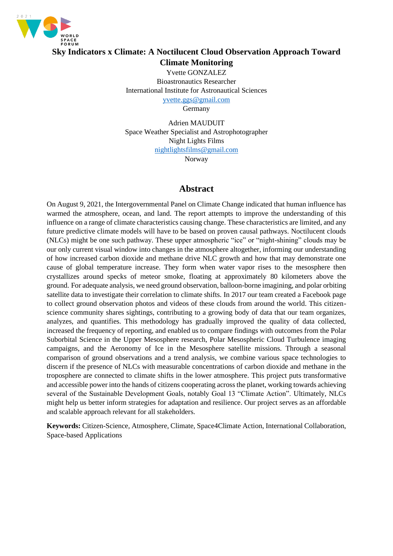

## <span id="page-9-0"></span>**Sky Indicators x Climate: A Noctilucent Cloud Observation Approach Toward Climate Monitoring**

Yvette GONZALEZ Bioastronautics Researcher International Institute for Astronautical Sciences [yvette.ggs@gmail.com](mailto:yvette.ggs@gmail.com) Germany

Adrien MAUDUIT Space Weather Specialist and Astrophotographer Night Lights Films [nightlightsfilms@gmail.com](mailto:nightlightsfilms@gmail.com) Norway

## **Abstract**

On August 9, 2021, the Intergovernmental Panel on Climate Change indicated that human influence has warmed the atmosphere, ocean, and land. The report attempts to improve the understanding of this influence on a range of climate characteristics causing change. These characteristics are limited, and any future predictive climate models will have to be based on proven causal pathways. Noctilucent clouds (NLCs) might be one such pathway. These upper atmospheric "ice" or "night-shining" clouds may be our only current visual window into changes in the atmosphere altogether, informing our understanding of how increased carbon dioxide and methane drive NLC growth and how that may demonstrate one cause of global temperature increase. They form when water vapor rises to the mesosphere then crystallizes around specks of meteor smoke, floating at approximately 80 kilometers above the ground. For adequate analysis, we need ground observation, balloon-borne imagining, and polar orbiting satellite data to investigate their correlation to climate shifts. In 2017 our team created a Facebook page to collect ground observation photos and videos of these clouds from around the world. This citizenscience community shares sightings, contributing to a growing body of data that our team organizes, analyzes, and quantifies. This methodology has gradually improved the quality of data collected, increased the frequency of reporting, and enabled us to compare findings with outcomes from the Polar Suborbital Science in the Upper Mesosphere research, Polar Mesospheric Cloud Turbulence imaging campaigns, and the Aeronomy of Ice in the Mesosphere satellite missions. Through a seasonal comparison of ground observations and a trend analysis, we combine various space technologies to discern if the presence of NLCs with measurable concentrations of carbon dioxide and methane in the troposphere are connected to climate shifts in the lower atmosphere. This project puts transformative and accessible power into the hands of citizens cooperating across the planet, working towards achieving several of the Sustainable Development Goals, notably Goal 13 "Climate Action". Ultimately, NLCs might help us better inform strategies for adaptation and resilience. Our project serves as an affordable and scalable approach relevant for all stakeholders.

**Keywords:** Citizen-Science, Atmosphere, Climate, Space4Climate Action, International Collaboration, Space-based Applications